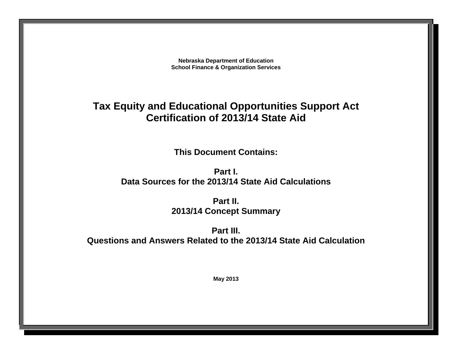**Nebraska Department of Education School Finance & Organization Services**

# **Tax Equity and Educational Opportunities Support Act Certification of 2013/14 State Aid**

**This Document Contains:** 

**Part I. Data Sources for the 2013/14 State Aid Calculations** 

> **Part II. 2013/14 Concept Summary**

**Part III. Questions and Answers Related to the 2013/14 State Aid Calculation**

**May 2013**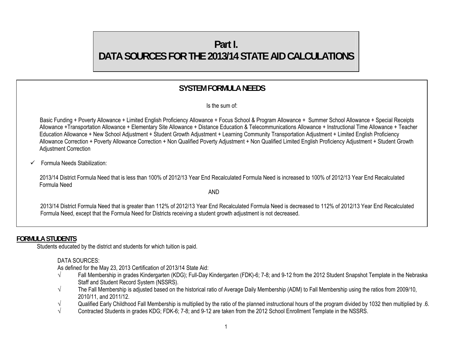# **Part I. DATA SOURCES FOR THE 2013/14 STATE AID CALCULATIONS**

# **SYSTEM FORMULA NEEDS**

Is the sum of:

 Basic Funding + Poverty Allowance + Limited English Proficiency Allowance + Focus School & Program Allowance + Summer School Allowance + Special Receipts Allowance +Transportation Allowance + Elementary Site Allowance + Distance Education & Telecommunications Allowance + Instructional Time Allowance + Teacher Education Allowance + New School Adjustment + Student Growth Adjustment + Learning Community Transportation Adjustment + Limited English Proficiency Allowance Correction + Poverty Allowance Correction + Non Qualified Poverty Adjustment + Non Qualified Limited English Proficiency Adjustment + Student Growth Adjustment Correction

#### $\checkmark$  Formula Needs Stabilization:

 2013/14 District Formula Need that is less than 100% of 2012/13 Year End Recalculated Formula Need is increased to 100% of 2012/13 Year End Recalculated Formula Need

AND

2013/14 District Formula Need that is greater than 112% of 2012/13 Year End Recalculated Formula Need is decreased to 112% of 2012/13 Year End Recalculated Formula Need, except that the Formula Need for Districts receiving a student growth adjustment is not decreased.

## **FORMULA STUDENTS**

Students educated by the district and students for which tuition is paid.

## DATA SOURCES:

As defined for the May 23, 2013 Certification of 2013/14 State Aid:

- √ Fall Membership in grades Kindergarten (KDG); Full-Day Kindergarten (FDK)-6; 7-8; and 9-12 from the 2012 Student Snapshot Template in the Nebraska Staff and Student Record System (NSSRS).
- $\sqrt{ }$  The Fall Membership is adjusted based on the historical ratio of Average Daily Membership (ADM) to Fall Membership using the ratios from 2009/10, 2010/11, and 2011/12.
- √ Qualified Early Childhood Fall Membership is multiplied by the ratio of the planned instructional hours of the program divided by 1032 then multiplied by .6.<br>Contracted Students in grades KDG: FDK-6: 7-8: and 9-12 are t
- √ Contracted Students in grades KDG; FDK-6; 7-8; and 9-12 are taken from the 2012 School Enrollment Template in the NSSRS.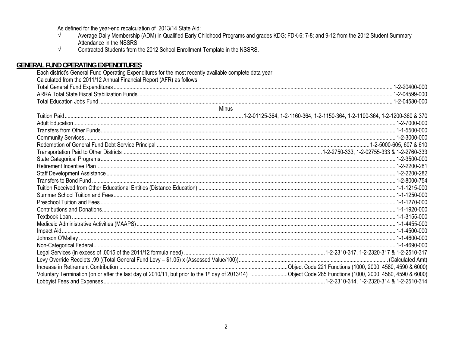As defined for the year-end recalculation of 2013/14 State Aid:

- $\sqrt{ }$ Average Daily Membership (ADM) in Qualified Early Childhood Programs and grades KDG; FDK-6; 7-8; and 9-12 from the 2012 Student Summary Attendance in the NSSRS.
- $\sqrt{}$ Contracted Students from the 2012 School Enrollment Template in the NSSRS.

## **GENERAL FUND OPERATING EXPENDITURES**

| Each district's General Fund Operating Expenditures for the most recently available complete data year. |  |
|---------------------------------------------------------------------------------------------------------|--|
| Calculated from the 2011/12 Annual Financial Report (AFR) as follows:                                   |  |
|                                                                                                         |  |
|                                                                                                         |  |
|                                                                                                         |  |
| Minus                                                                                                   |  |
|                                                                                                         |  |
|                                                                                                         |  |
|                                                                                                         |  |
|                                                                                                         |  |
|                                                                                                         |  |
|                                                                                                         |  |
|                                                                                                         |  |
|                                                                                                         |  |
|                                                                                                         |  |
|                                                                                                         |  |
|                                                                                                         |  |
|                                                                                                         |  |
|                                                                                                         |  |
|                                                                                                         |  |
|                                                                                                         |  |
|                                                                                                         |  |
|                                                                                                         |  |
|                                                                                                         |  |
|                                                                                                         |  |
|                                                                                                         |  |
|                                                                                                         |  |
|                                                                                                         |  |
|                                                                                                         |  |
|                                                                                                         |  |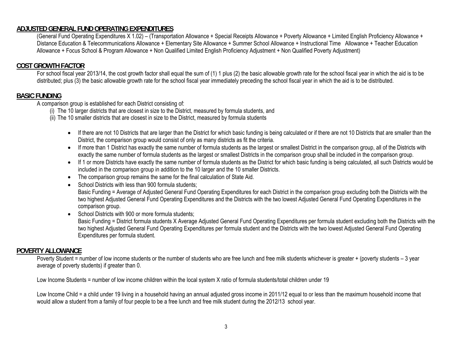### **ADJUSTED GENERAL FUND OPERATING EXPENDITURES**

(General Fund Operating Expenditures X 1.02) – (Transportation Allowance + Special Receipts Allowance + Poverty Allowance + Limited English Proficiency Allowance + Distance Education & Telecommunications Allowance + Elementary Site Allowance + Summer School Allowance + Instructional Time Allowance + Teacher Education Allowance + Focus School & Program Allowance + Non Qualified Limited English Proficiency Adjustment + Non Qualified Poverty Adjustment)

#### **COST GROWTH FACTOR**

 For school fiscal year 2013/14, the cost growth factor shall equal the sum of (1) 1 plus (2) the basic allowable growth rate for the school fiscal year in which the aid is to be distributed; plus (3) the basic allowable growth rate for the school fiscal year immediately preceding the school fiscal year in which the aid is to be distributed.

#### **BASIC FUNDING**

A comparison group is established for each District consisting of:

- (i) The 10 larger districts that are closest in size to the District, measured by formula students, and
- (ii) The 10 smaller districts that are closest in size to the District, measured by formula students
	- If there are not 10 Districts that are larger than the District for which basic funding is being calculated or if there are not 10 Districts that are smaller than the District, the comparison group would consist of only as many districts as fit the criteria.
	- If more than 1 District has exactly the same number of formula students as the largest or smallest District in the comparison group, all of the Districts with exactly the same number of formula students as the largest or smallest Districts in the comparison group shall be included in the comparison group.
	- If 1 or more Districts have exactly the same number of formula students as the District for which basic funding is being calculated, all such Districts would be included in the comparison group in addition to the 10 larger and the 10 smaller Districts.
	- The comparison group remains the same for the final calculation of State Aid.
	- School Districts with less than 900 formula students;

Basic Funding = Average of Adjusted General Fund Operating Expenditures for each District in the comparison group excluding both the Districts with the two highest Adjusted General Fund Operating Expenditures and the Districts with the two lowest Adjusted General Fund Operating Expenditures in the comparison group.

• School Districts with 900 or more formula students; Basic Funding = District formula students X Average Adjusted General Fund Operating Expenditures per formula student excluding both the Districts with the two highest Adjusted General Fund Operating Expenditures per formula student and the Districts with the two lowest Adjusted General Fund Operating Expenditures per formula student.

#### **POVERTY ALLOWANCE**

Poverty Student = number of low income students or the number of students who are free lunch and free milk students whichever is greater + (poverty students – 3 year average of poverty students) if greater than 0.

Low Income Students = number of low income children within the local system X ratio of formula students/total children under 19

Low Income Child = a child under 19 living in a household having an annual adjusted gross income in 2011/12 equal to or less than the maximum household income that would allow a student from a family of four people to be a free lunch and free milk student during the 2012/13 school year.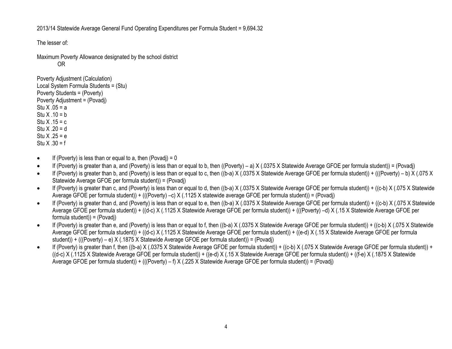2013/14 Statewide Average General Fund Operating Expenditures per Formula Student = 9,694.32

The lesser of:

 Maximum Poverty Allowance designated by the school district OR

```
Poverty Adjustment (Calculation) 
Local System Formula Students = (Stu) 
Poverty Students = (Poverty) 
Poverty Adjustment = (Povadj) 
Stu X .05 = a 
Stu X .10 = bStu X .15 = c
Stu X .20 = d
Stu X .25 = e 
Stu X .30 = f
```
- $\bullet$ If (Poverty) is less than or equal to a, then (Povadj) =  $0$
- $\bullet$ If (Poverty) is greater than a, and (Poverty) is less than or equal to b, then ((Poverty) – a) X (.0375 X Statewide Average GFOE per formula student)) = (Povadj)
- $\bullet$ If (Poverty) is greater than b, and (Poverty) is less than or equal to c, then ((b-a) X (.0375 X Statewide Average GFOE per formula student)) + (((Poverty) – b) X (.075 X Statewide Average GFOE per formula student)) = (Povadj)
- $\bullet$  If (Poverty) is greater than c, and (Poverty) is less than or equal to d, then ((b-a) X (.0375 X Statewide Average GFOE per formula student)) + ((c-b) X (.075 X Statewide Average GFOE per formula student)) + (((Poverty) –c) X (.1125 X statewide average GFOE per formula student)) = (Povadj)
- $\bullet$  If (Poverty) is greater than d, and (Poverty) is less than or equal to e, then ((b-a) X (.0375 X Statewide Average GFOE per formula student)) + ((c-b) X (.075 X Statewide Average GFOE per formula student)) + ((d-c) X (.1125 X Statewide Average GFOE per formula student)) + (((Poverty) –d) X (.15 X Statewide Average GFOE per formula student)) = (Povadj)
- $\bullet$  If (Poverty) is greater than e, and (Poverty) is less than or equal to f, then ((b-a) X (.0375 X Statewide Average GFOE per formula student)) + ((c-b) X (.075 X Statewide Average GFOE per formula student)) + ((d-c) X (.1125 X Statewide Average GFOE per formula student)) + ((e-d) X (.15 X Statewide Average GFOE per formula student)) + (((Poverty) – e) X (.1875 X Statewide Average GFOE per formula student)) = (Povadj)
- $\bullet$  If (Poverty) is greater than f, then ((b-a) X (.0375 X Statewide Average GFOE per formula student)) + ((c-b) X (.075 X Statewide Average GFOE per formula student)) + ((d-c) X (.1125 X Statewide Average GFOE per formula student)) + ((e-d) X (.15 X Statewide Average GFOE per formula student)) + ((f-e) X (.1875 X Statewide Average GFOE per formula student)) + (((Poverty) – f) X (.225 X Statewide Average GFOE per formula student)) = (Povadj)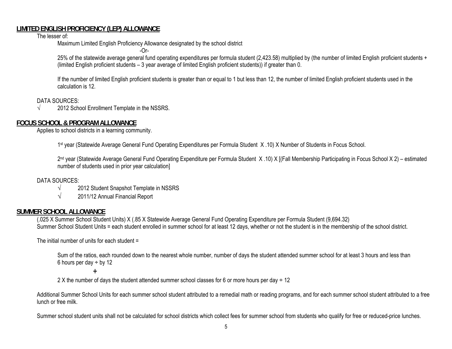#### **LIMITED ENGLISH PROFICIENCY (LEP) ALLOWANCE**

The lesser of:

Maximum Limited English Proficiency Allowance designated by the school district -Or-

25% of the statewide average general fund operating expenditures per formula student (2,423.58) multiplied by (the number of limited English proficient students + (limited English proficient students – 3 year average of limited English proficient students)) if greater than 0.

If the number of limited English proficient students is greater than or equal to 1 but less than 12, the number of limited English proficient students used in the calculation is 12.

DATA SOURCES:

 $\sqrt{2012}$  School Enrollment Template in the NSSRS.

## **FOCUS SCHOOL & PROGRAM ALLOWANCE**

Applies to school districts in a learning community.

1st year (Statewide Average General Fund Operating Expenditures per Formula Student X.10) X Number of Students in Focus School.

2nd year (Statewide Average General Fund Operating Expenditure per Formula Student X .10) X [(Fall Membership Participating in Focus School X 2) – estimated number of students used in prior year calculation]

#### DATA SOURCES:

- $\sqrt{2012}$  Student Snapshot Template in NSSRS
- $\sqrt{2011/12}$  Annual Financial Report

## **SUMMER SCHOOL ALLOWANCE**

(.025 X Summer School Student Units) X (.85 X Statewide Average General Fund Operating Expenditure per Formula Student (9,694.32) Summer School Student Units = each student enrolled in summer school for at least 12 days, whether or not the student is in the membership of the school district.

The initial number of units for each student =

 Sum of the ratios, each rounded down to the nearest whole number, number of days the student attended summer school for at least 3 hours and less than 6 hours per day  $\div$  by 12

+

2 X the number of days the student attended summer school classes for 6 or more hours per day  $\div$  12

 Additional Summer School Units for each summer school student attributed to a remedial math or reading programs, and for each summer school student attributed to a free lunch or free milk.

Summer school student units shall not be calculated for school districts which collect fees for summer school from students who qualify for free or reduced-price lunches.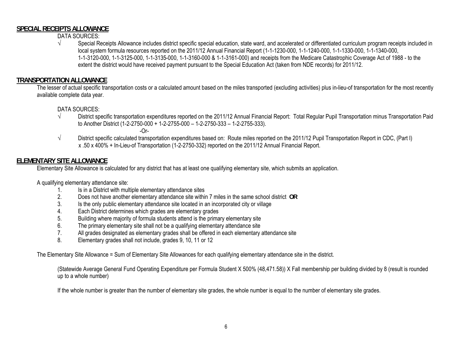#### **SPECIAL RECEIPTS ALLOWANCE**

DATA SOURCES:

√ Special Receipts Allowance includes district specific special education, state ward, and accelerated or differentiated curriculum program receipts included in local system formula resources reported on the 2011/12 Annual Financial Report (1-1-1230-000, 1-1-1240-000, 1-1-1330-000, 1-1-1340-000, 1-1-3120-000, 1-1-3125-000, 1-1-3135-000, 1-1-3160-000 & 1-1-3161-000) and receipts from the Medicare Catastrophic Coverage Act of 1988 - to the extent the district would have received payment pursuant to the Special Education Act (taken from NDE records) for 2011/12.

## **TRANSPORTATION ALLOWANCE**

The lesser of actual specific transportation costs or a calculated amount based on the miles transported (excluding activities) plus in-lieu-of transportation for the most recently available complete data year.

#### DATA SOURCES:

- √ District specific transportation expenditures reported on the 2011/12 Annual Financial Report: Total Regular Pupil Transportation minus Transportation Paid to Another District (1-2-2750-000 + 1-2-2755-000 – 1-2-2750-333 – 1-2-2755-333).
	- -Or-
- √ District specific calculated transportation expenditures based on: Route miles reported on the 2011/12 Pupil Transportation Report in CDC, (Part I) x .50 x 400% + In-Lieu-of Transportation (1-2-2750-332) reported on the 2011/12 Annual Financial Report.

## **ELEMENTARY SITE ALLOWANCE**

Elementary Site Allowance is calculated for any district that has at least one qualifying elementary site, which submits an application.

A qualifying elementary attendance site:

- 1.Is in a District with multiple elementary attendance sites
- 2.Does not have another elementary attendance site within 7 miles in the same school district **OR**
- 3.Is the only public elementary attendance site located in an incorporated city or village
- 4.Each District determines which grades are elementary grades
- 5.Building where majority of formula students attend is the primary elementary site
- 6.The primary elementary site shall not be a qualifying elementary attendance site
- 7.All grades designated as elementary grades shall be offered in each elementary attendance site
- 8.Elementary grades shall not include, grades 9, 10, 11 or 12

The Elementary Site Allowance = Sum of Elementary Site Allowances for each qualifying elementary attendance site in the district.

 (Statewide Average General Fund Operating Expenditure per Formula Student X 500% (48,471.58)) X Fall membership per building divided by 8 (result is rounded up to a whole number)

If the whole number is greater than the number of elementary site grades, the whole number is equal to the number of elementary site grades.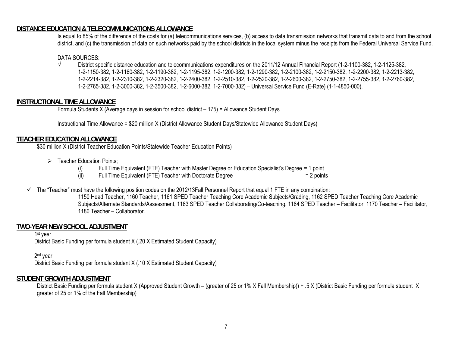#### **DISTANCE EDUCATION & TELECOMMUNICATIONS ALLOWANCE**

Is equal to 85% of the difference of the costs for (a) telecommunications services, (b) access to data transmission networks that transmit data to and from the school district, and (c) the transmission of data on such networks paid by the school districts in the local system minus the receipts from the Federal Universal Service Fund.

#### DATA SOURCES:

√ District specific distance education and telecommunications expenditures on the 2011/12 Annual Financial Report (1-2-1100-382, 1-2-1125-382, 1-2-1150-382, 1-2-1160-382, 1-2-1190-382, 1-2-1195-382, 1-2-1200-382, 1-2-1290-382, 1-2-2100-382, 1-2-2150-382, 1-2-2200-382, 1-2-2213-382, 1-2-2214-382, 1-2-2310-382, 1-2-2320-382, 1-2-2400-382, 1-2-2510-382, 1-2-2520-382, 1-2-2600-382, 1-2-2750-382, 1-2-2755-382, 1-2-2760-382, 1-2-2765-382, 1-2-3000-382, 1-2-3500-382, 1-2-6000-382, 1-2-7000-382) – Universal Service Fund (E-Rate) (1-1-4850-000).

#### **INSTRUCTIONAL TIME ALLOWANCE**

Formula Students X (Average days in session for school district – 175) = Allowance Student Days

Instructional Time Allowance = \$20 million X (District Allowance Student Days/Statewide Allowance Student Days)

#### **TEACHER EDUCATION ALLOWANCE**

\$30 million X (District Teacher Education Points/Statewide Teacher Education Points)

- $\triangleright$  Teacher Education Points;
	- (i) Full Time Equivalent (FTE) Teacher with Master Degree or Education Specialist's Degree = 1 point
	- (ii) Full Time Equivalent (FTE) Teacher with Doctorate Degree  $= 2$  points
- $\checkmark$  The "Teacher" must have the following position codes on the 2012/13Fall Personnel Report that equal 1 FTE in any combination:

1150 Head Teacher, 1160 Teacher, 1161 SPED Teacher Teaching Core Academic Subjects/Grading, 1162 SPED Teacher Teaching Core Academic Subjects/Alternate Standards/Assessment, 1163 SPED Teacher Collaborating/Co-teaching, 1164 SPED Teacher – Facilitator, 1170 Teacher – Facilitator, 1180 Teacher – Collaborator.

#### **TWO-YEAR NEW SCHOOL ADJUSTMENT**

1st year

District Basic Funding per formula student X (.20 X Estimated Student Capacity)

2<sup>nd</sup> year

District Basic Funding per formula student X (.10 X Estimated Student Capacity)

#### **STUDENT GROWTH ADJUSTMENT**

 District Basic Funding per formula student X (Approved Student Growth – (greater of 25 or 1% X Fall Membership)) + .5 X (District Basic Funding per formula student X greater of 25 or 1% of the Fall Membership)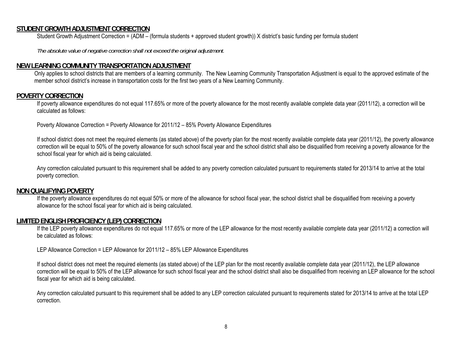#### **STUDENT GROWTH ADJUSTMENT CORRECTION**

Student Growth Adjustment Correction = (ADM – (formula students + approved student growth)) X district's basic funding per formula student

 *The absolute value of negative correction shall not exceed the original adjustment.* 

#### **NEW LEARNING COMMUNITY TRANSPORTATION ADJUSTMENT**

Only applies to school districts that are members of a learning community. The New Learning Community Transportation Adjustment is equal to the approved estimate of the member school district's increase in transportation costs for the first two years of a New Learning Community.

#### **POVERTY CORRECTION**

 If poverty allowance expenditures do not equal 117.65% or more of the poverty allowance for the most recently available complete data year (2011/12), a correction will be calculated as follows:

Poverty Allowance Correction = Poverty Allowance for 2011/12 – 85% Poverty Allowance Expenditures

 If school district does not meet the required elements (as stated above) of the poverty plan for the most recently available complete data year (2011/12), the poverty allowance correction will be equal to 50% of the poverty allowance for such school fiscal year and the school district shall also be disqualified from receiving a poverty allowance for the school fiscal year for which aid is being calculated.

Any correction calculated pursuant to this requirement shall be added to any poverty correction calculated pursuant to requirements stated for 2013/14 to arrive at the total poverty correction.

#### **NON QUALIFYING POVERTY**

 If the poverty allowance expenditures do not equal 50% or more of the allowance for school fiscal year, the school district shall be disqualified from receiving a poverty allowance for the school fiscal year for which aid is being calculated.

#### **LIMITED ENGLISH PROFICIENCY (LEP) CORRECTION**

 If the LEP poverty allowance expenditures do not equal 117.65% or more of the LEP allowance for the most recently available complete data year (2011/12) a correction will be calculated as follows:

LEP Allowance Correction = LEP Allowance for 2011/12 – 85% LEP Allowance Expenditures

 If school district does not meet the required elements (as stated above) of the LEP plan for the most recently available complete data year (2011/12), the LEP allowance correction will be equal to 50% of the LEP allowance for such school fiscal year and the school district shall also be disqualified from receiving an LEP allowance for the school fiscal year for which aid is being calculated.

Any correction calculated pursuant to this requirement shall be added to any LEP correction calculated pursuant to requirements stated for 2013/14 to arrive at the total LEP correction.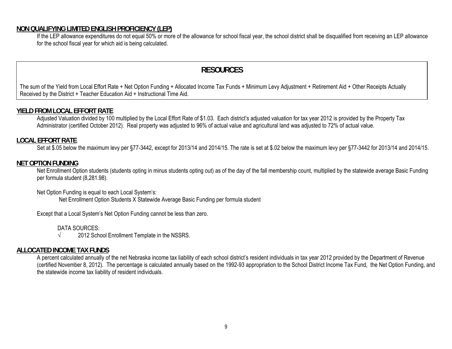#### **NON QUALIFYING LIMITED ENGLISH PROFICIENCY (LEP)**

 If the LEP allowance expenditures do not equal 50% or more of the allowance for school fiscal year, the school district shall be disqualified from receiving an LEP allowance for the school fiscal year for which aid is being calculated.

## **RESOURCES**

The sum of the Yield from Local Effort Rate + Net Option Funding + Allocated Income Tax Funds + Minimum Levy Adjustment + Retirement Aid + Other Receipts Actually Received by the District + Teacher Education Aid + Instructional Time Aid.

#### **YIELD FROM LOCAL EFFORT RATE**

Adjusted Valuation divided by 100 multiplied by the Local Effort Rate of \$1.03. Each district's adjusted valuation for tax year 2012 is provided by the Property Tax Administrator (certified October 2012). Real property was adjusted to 96% of actual value and agricultural land was adjusted to 72% of actual value.

#### **LOCAL EFFORT RATE**

Set at \$.05 below the maximum levy per §77-3442, except for 2013/14 and 2014/15. The rate is set at \$.02 below the maximum levy per §77-3442 for 2013/14 and 2014/15.

#### **NET OPTION FUNDING**

Net Enrollment Option students (students opting in minus students opting out) as of the day of the fall membership count, multiplied by the statewide average Basic Funding per formula student (8,281.98).

#### Net Option Funding is equal to each Local System's:

Net Enrollment Option Students X Statewide Average Basic Funding per formula student

Except that a Local System's Net Option Funding cannot be less than zero.

DATA SOURCES:

 $\sqrt{2012}$  School Enrollment Template in the NSSRS.

#### **ALLOCATED INCOME TAX FUNDS**

A percent calculated annually of the net Nebraska income tax liability of each school district's resident individuals in tax year 2012 provided by the Department of Revenue (certified November 8, 2012). The percentage is calculated annually based on the 1992-93 appropriation to the School District Income Tax Fund, the Net Option Funding, and the statewide income tax liability of resident individuals.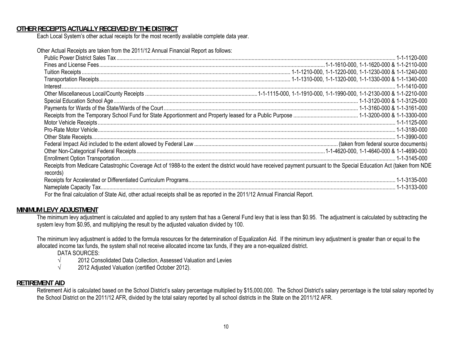#### **OTHER RECEIPTS ACTUALLY RECEIVED BY THE DISTRICT**

Each Local System's other actual receipts for the most recently available complete data year.

Other Actual Receipts are taken from the 2011/12 Annual Financial Report as follows:

| Receipts from Medicare Catastrophic Coverage Act of 1988-to the extent the district would have received payment pursuant to the Special Education Act (taken from NDE<br>records) |  |
|-----------------------------------------------------------------------------------------------------------------------------------------------------------------------------------|--|
|                                                                                                                                                                                   |  |
|                                                                                                                                                                                   |  |
| For the final calculation of State Aid, other actual receipts shall be as reported in the 2011/12 Annual Financial Report.                                                        |  |

#### **MINIMUM LEVY ADJUSTMENT**

The minimum levy adjustment is calculated and applied to any system that has a General Fund levy that is less than \$0.95. The adjustment is calculated by subtracting the system levy from \$0.95, and multiplying the result by the adjusted valuation divided by 100.

The minimum levy adjustment is added to the formula resources for the determination of Equalization Aid. If the minimum levy adjustment is greater than or equal to the allocated income tax funds, the system shall not receive allocated income tax funds, if they are a non-equalized district.

DATA SOURCES:

- √ 2012 Consolidated Data Collection, Assessed Valuation and Levies
- √ 2012 Adjusted Valuation (certified October 2012).

#### **RETIREMENT AID**

Retirement Aid is calculated based on the School District's salary percentage multiplied by \$15,000,000. The School District's salary percentage is the total salary reported by the School District on the 2011/12 AFR, divided by the total salary reported by all school districts in the State on the 2011/12 AFR.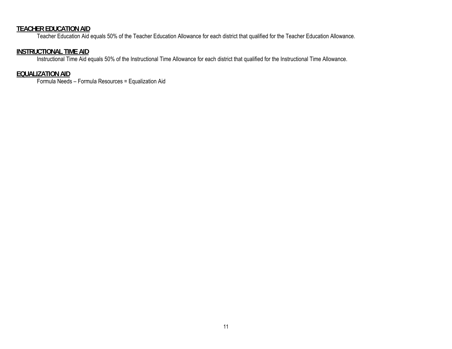#### **TEACHER EDUCATION AID**

Teacher Education Aid equals 50% of the Teacher Education Allowance for each district that qualified for the Teacher Education Allowance.

#### **INSTRUCTIONAL TIME AID**

Instructional Time Aid equals 50% of the Instructional Time Allowance for each district that qualified for the Instructional Time Allowance.

#### **EQUALIZATION AID**

Formula Needs – Formula Resources = Equalization Aid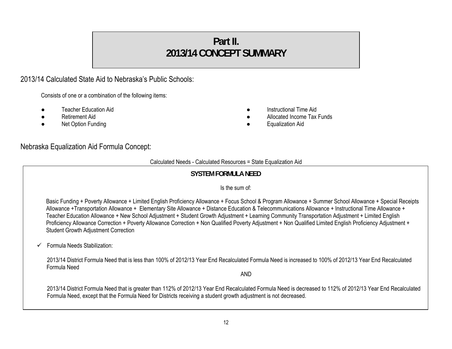# **Part II. 2013/14 CONCEPT SUMMARY**

## 2013/14 Calculated State Aid to Nebraska's Public Schools:

Consists of one or a combination of the following items:

- Teacher Education Aid  **Instructional Time Aid**
- 
- 
- 
- **Betirement Aid Allocated Income Tax Funds Contract Allocated Income Tax Funds Allocated Income Tax Funds**
- **Net Option Funding and Solution Aid Contract Contract Contract Contract Contract Contract Contract Contract Contract Contract Contract Contract Contract Contract Contract Contract Contract Contract Contract Contract Cont**

## Nebraska Equalization Aid Formula Concept:

#### Calculated Needs - Calculated Resources = State Equalization Aid

## **SYSTEM FORMULA NEED**

#### Is the sum of:

Basic Funding + Poverty Allowance + Limited English Proficiency Allowance + Focus School & Program Allowance + Summer School Allowance + Special Receipts Allowance +Transportation Allowance + Elementary Site Allowance + Distance Education & Telecommunications Allowance + Instructional Time Allowance + Teacher Education Allowance + New School Adjustment + Student Growth Adjustment + Learning Community Transportation Adjustment + Limited English Proficiency Allowance Correction + Poverty Allowance Correction + Non Qualified Poverty Adjustment + Non Qualified Limited English Proficiency Adjustment + Student Growth Adjustment Correction

 $\checkmark$ Formula Needs Stabilization:

> 2013/14 District Formula Need that is less than 100% of 2012/13 Year End Recalculated Formula Need is increased to 100% of 2012/13 Year End Recalculated Formula Need

AND

2013/14 District Formula Need that is greater than 112% of 2012/13 Year End Recalculated Formula Need is decreased to 112% of 2012/13 Year End Recalculated Formula Need, except that the Formula Need for Districts receiving a student growth adjustment is not decreased.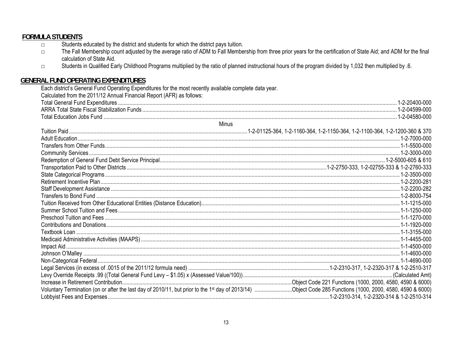## **FORMULA STUDENTS**

- Students educated by the district and students for which the district pays tuition.  $\Box$
- The Fall Membership count adjusted by the average ratio of ADM to Fall Membership from three prior years for the certification of State Aid; and ADM for the final  $\Box$ calculation of State Aid.
- Students in Qualified Early Childhood Programs multiplied by the ratio of planned instructional hours of the program divided by 1,032 then multiplied by .6.  $\Box$

## **GENERAL FUND OPERATING EXPENDITURES**

Each district's General Fund Operating Expenditures for the most recently available complete data year.

Calculated from the 2011/12 Annual Financial Report (AFR) as follows:

| linc |  |
|------|--|
|      |  |
|      |  |
| .    |  |

| <b>MINUS</b> |  |
|--------------|--|
|              |  |
|              |  |
|              |  |
|              |  |
|              |  |
|              |  |
|              |  |
|              |  |
|              |  |
|              |  |
|              |  |
|              |  |
|              |  |
|              |  |
|              |  |
|              |  |
|              |  |
|              |  |
|              |  |
|              |  |
|              |  |
|              |  |
|              |  |
|              |  |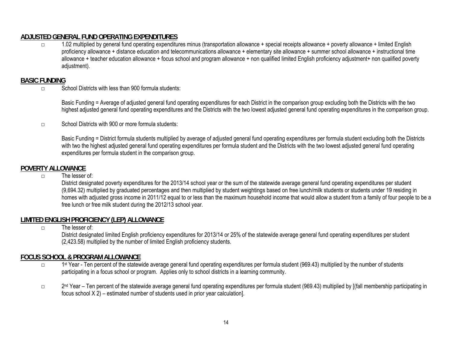## **ADJUSTED GENERAL FUND OPERATING EXPENDITURES**

□ 1.02 multiplied by general fund operating expenditures minus (transportation allowance + special receipts allowance + poverty allowance + limited English proficiency allowance + distance education and telecommunications allowance + elementary site allowance + summer school allowance + instructional time allowance + teacher education allowance + focus school and program allowance + non qualified limited English proficiency adjustment+ non qualified poverty adjustment).

## **BASIC FUNDING**

 $\nabla$  School Districts with less than 900 formula students:

Basic Funding = Average of adjusted general fund operating expenditures for each District in the comparison group excluding both the Districts with the two highest adjusted general fund operating expenditures and the Districts with the two lowest adjusted general fund operating expenditures in the comparison group.

□ School Districts with 900 or more formula students:

Basic Funding = District formula students multiplied by average of adjusted general fund operating expenditures per formula student excluding both the Districts with two the highest adjusted general fund operating expenditures per formula student and the Districts with the two lowest adjusted general fund operating expenditures per formula student in the comparison group.

## **POVERTY ALLOWANCE**

 $\Box$  The lesser of:

 District designated poverty expenditures for the 2013/14 school year or the sum of the statewide average general fund operating expenditures per student (9,694.32) multiplied by graduated percentages and then multiplied by student weightings based on free lunch/milk students or students under 19 residing in homes with adjusted gross income in 2011/12 equal to or less than the maximum household income that would allow a student from a family of four people to be a free lunch or free milk student during the 2012/13 school year.

## **LIMITED ENGLISH PROFICIENCY (LEP) ALLOWANCE**

□ The lesser of:

District designated limited English proficiency expenditures for 2013/14 or 25% of the statewide average general fund operating expenditures per student (2,423.58) multiplied by the number of limited English proficiency students.

## **FOCUS SCHOOL & PROGRAM ALLOWANCE**

- $\square$  1st Year Ten percent of the statewide average general fund operating expenditures per formula student (969.43) multiplied by the number of students participating in a focus school or program. Applies only to school districts in a learning community.
- □ 2<sup>nd</sup> Year Ten percent of the statewide average general fund operating expenditures per formula student (969.43) multiplied by [(fall membership participating in focus school X 2) – estimated number of students used in prior year calculation].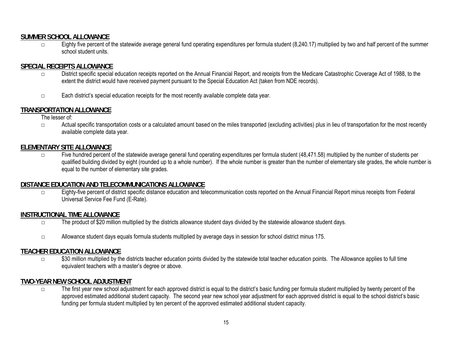### **SUMMER SCHOOL ALLOWANCE**

 $\square$  Eighty five percent of the statewide average general fund operating expenditures per formula student  $(8,240.17)$  multiplied by two and half percent of the summer school student units.

## **SPECIAL RECEIPTS ALLOWANCE**

- □ District specific special education receipts reported on the Annual Financial Report, and receipts from the Medicare Catastrophic Coverage Act of 1988, to the extent the district would have received payment pursuant to the Special Education Act (taken from NDE records).
- □ Each district's special education receipts for the most recently available complete data year.

## **TRANSPORTATION ALLOWANCE**

The lesser of:

□ Actual specific transportation costs or a calculated amount based on the miles transported (excluding activities) plus in lieu of transportation for the most recently available complete data year.

## **ELEMENTARY SITE ALLOWANCE**

 $\Box$  Five hundred percent of the statewide average general fund operating expenditures per formula student (48,471.58) multiplied by the number of students per qualified building divided by eight (rounded up to a whole number). If the whole number is greater than the number of elementary site grades, the whole number is equal to the number of elementary site grades.

## **DISTANCE EDUCATION AND TELECOMMUNICATIONS ALLOWANCE**

□ Eighty-five percent of district specific distance education and telecommunication costs reported on the Annual Financial Report minus receipts from Federal Universal Service Fee Fund (E-Rate).

#### **INSTRUCTIONAL TIME ALLOWANCE**

- □ The product of \$20 million multiplied by the districts allowance student days divided by the statewide allowance student days.
- □ Allowance student days equals formula students multiplied by average days in session for school district minus 175.

## **TEACHER EDUCATION ALLOWANCE**

□ \$30 million multiplied by the districts teacher education points divided by the statewide total teacher education points. The Allowance applies to full time equivalent teachers with a master's degree or above.

## **TWO-YEAR NEW SCHOOL ADJUSTMENT**

□ The first year new school adjustment for each approved district is equal to the district's basic funding per formula student multiplied by twenty percent of the approved estimated additional student capacity. The second year new school year adjustment for each approved district is equal to the school district's basic funding per formula student multiplied by ten percent of the approved estimated additional student capacity.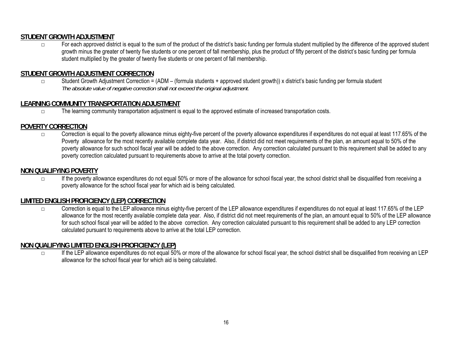## **STUDENT GROWTH ADJUSTMENT**

□ For each approved district is equal to the sum of the product of the district's basic funding per formula student multiplied by the difference of the approved student growth minus the greater of twenty five students or one percent of fall membership, plus the product of fifty percent of the district's basic funding per formula student multiplied by the greater of twenty five students or one percent of fall membership.

## **STUDENT GROWTH ADJUSTMENT CORRECTION**

Student Growth Adjustment Correction = (ADM – (formula students + approved student growth)) x district's basic funding per formula student  *The absolute value of negative correction shall not exceed the original adjustment.* 

## **LEARNING COMMUNITY TRANSPORTATION ADJUSTMENT**

□ The learning community transportation adjustment is equal to the approved estimate of increased transportation costs.

## **POVERTY CORRECTION**

 $\square$  Correction is equal to the poverty allowance minus eighty-five percent of the poverty allowance expenditures if expenditures do not equal at least 117.65% of the Poverty allowance for the most recently available complete data year. Also, if district did not meet requirements of the plan, an amount equal to 50% of the poverty allowance for such school fiscal year will be added to the above correction. Any correction calculated pursuant to this requirement shall be added to any poverty correction calculated pursuant to requirements above to arrive at the total poverty correction.

#### **NON QUALIFYING POVERTY**

□ If the poverty allowance expenditures do not equal 50% or more of the allowance for school fiscal year, the school district shall be disqualified from receiving a poverty allowance for the school fiscal year for which aid is being calculated.

## **LIMITED ENGLISH PROFICIENCY (LEP) CORRECTION**

□ Correction is equal to the LEP allowance minus eighty-five percent of the LEP allowance expenditures if expenditures do not equal at least 117.65% of the LEP allowance for the most recently available complete data year. Also, if district did not meet requirements of the plan, an amount equal to 50% of the LEP allowance for such school fiscal year will be added to the above correction. Any correction calculated pursuant to this requirement shall be added to any LEP correction calculated pursuant to requirements above to arrive at the total LEP correction.

#### **NON QUALIFYING LIMITED ENGLISH PROFICIENCY (LEP)**

□ If the LEP allowance expenditures do not equal 50% or more of the allowance for school fiscal year, the school district shall be disqualified from receiving an LEP allowance for the school fiscal year for which aid is being calculated.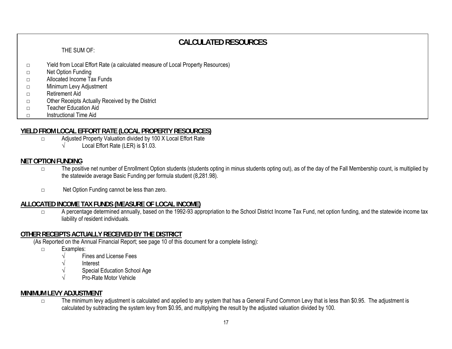# **CALCULATED RESOURCES**

#### THE SUM OF:

- □ Yield from Local Effort Rate (a calculated measure of Local Property Resources)
- □ Net Option Funding
- □ Allocated Income Tax Funds
- □ Minimum Levy Adjustment
- □ Retirement Aid
- □ Other Receipts Actually Received by the District
- □ Teacher Education Aid
- □ Instructional Time Aid

#### **YIELD FROM LOCAL EFFORT RATE (LOCAL PROPERTY RESOURCES)**

- □ Adjusted Property Valuation divided by 100 X Local Effort Rate
	- $\sqrt{\phantom{a}}$  Local Effort Rate (LER) is \$1.03.

## **NET OPTION FUNDING**

- □ The positive net number of Enrollment Option students (students opting in minus students opting out), as of the day of the Fall Membership count, is multiplied by the statewide average Basic Funding per formula student (8,281.98).
- □ Net Option Funding cannot be less than zero.

## **ALLOCATED INCOME TAX FUNDS (MEASURE OF LOCAL INCOME)**

□ A percentage determined annually, based on the 1992-93 appropriation to the School District Income Tax Fund, net option funding, and the statewide income tax liability of resident individuals.

## **OTHER RECEIPTS ACTUALLY RECEIVED BY THE DISTRICT**

(As Reported on the Annual Financial Report; see page 10 of this document for a complete listing):

- □ Examples:
	- √ Fines and License Fees
	- √ Interest
	- Special Education School Age
	- √ Pro-Rate Motor Vehicle

## **MINIMUM LEVY ADJUSTMENT**

□ The minimum levy adjustment is calculated and applied to any system that has a General Fund Common Levy that is less than \$0.95. The adjustment is calculated by subtracting the system levy from \$0.95, and multiplying the result by the adjusted valuation divided by 100.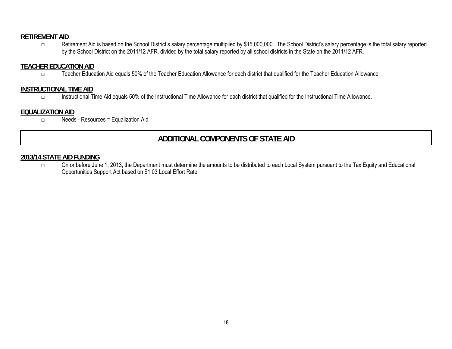## **RETIREMENT AID**

□ Retirement Aid is based on the School District's salary percentage multiplied by \$15,000,000. The School District's salary percentage is the total salary reported by the School District on the 2011/12 AFR, divided by the total salary reported by all school districts in the State on the 2011/12 AFR.

## **TEACHER EDUCATION AID**

□ Teacher Education Aid equals 50% of the Teacher Education Allowance for each district that qualified for the Teacher Education Allowance.

### **INSTRUCTIONAL TIME AID**

□ Instructional Time Aid equals 50% of the Instructional Time Allowance for each district that qualified for the Instructional Time Allowance.

#### **EQUALIZATION AID**

□ Needs - Resources = Equalization Aid

# **ADDITIONAL COMPONENTS OF STATE AID**

## **2013/14 STATE AID FUNDING**

□ On or before June 1, 2013, the Department must determine the amounts to be distributed to each Local System pursuant to the Tax Equity and Educational Opportunities Support Act based on \$1.03 Local Effort Rate.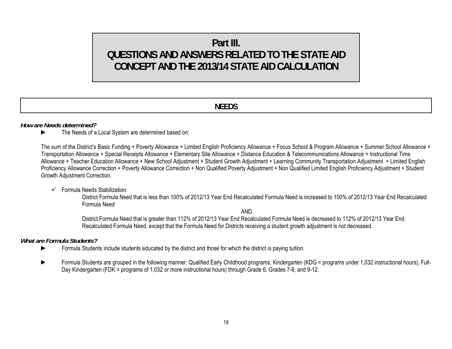# **Part III. QUESTIONS AND ANSWERS RELATED TO THE STATE AID CONCEPT AND THE 2013/14 STATE AID CALCULATION**

## **NEEDS**

#### *How are Needs determined?*

► The Needs of a Local System are determined based on:

The sum of the District's Basic Funding + Poverty Allowance + Limited English Proficiency Allowance + Focus School & Program Allowance + Summer School Allowance + Transportation Allowance + Special Receipts Allowance + Elementary Site Allowance + Distance Education & Telecommunications Allowance + Instructional Time Allowance + Teacher Education Allowance + New School Adjustment + Student Growth Adjustment + Learning Community Transportation Adjustment + Limited English Proficiency Allowance Correction + Poverty Allowance Correction + Non Qualified Poverty Adjustment + Non Qualified Limited English Proficiency Adjustment + Student Growth Adjustment Correction.

#### $\checkmark$  Formula Needs Stabilization:

District Formula Need that is less than 100% of 2012/13 Year End Recalculated Formula Need is increased to 100% of 2012/13 Year End Recalculated Formula Need

AND

District Formula Need that is greater than 112% of 2012/13 Year End Recalculated Formula Need is decreased to 112% of 2012/13 Year End Recalculated Formula Need, except that the Formula Need for Districts receiving a student growth adjustment is not decreased.

#### *What are Formula Students?*

- ► Formula Students include students educated by the district and those for which the district is paying tuition.
- ► Formula Students are grouped in the following manner: Qualified Early Childhood programs, Kindergarten (KDG = programs under 1,032 instructional hours), Full-Day Kindergarten (FDK = programs of 1,032 or more instructional hours) through Grade 6, Grades 7-8, and 9-12.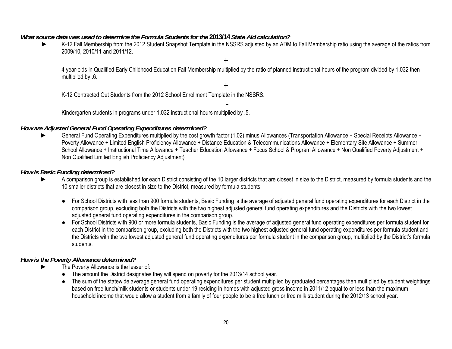#### *What source data was used to determine the Formula Students for the* **2013/14** *State Aid calculation?*

K-12 Fall Membership from the 2012 Student Snapshot Template in the NSSRS adjusted by an ADM to Fall Membership ratio using the average of the ratios from 2009/10, 2010/11 and 2011/12.

4 year-olds in Qualified Early Childhood Education Fall Membership multiplied by the ratio of planned instructional hours of the program divided by 1,032 then multiplied by .6.

+

-

+

K-12 Contracted Out Students from the 2012 School Enrollment Template in the NSSRS.

Kindergarten students in programs under 1,032 instructional hours multiplied by .5.

#### *How are Adjusted General Fund Operating Expenditures determined?*

General Fund Operating Expenditures multiplied by the cost growth factor (1.02) minus Allowances (Transportation Allowance + Special Receipts Allowance + Poverty Allowance + Limited English Proficiency Allowance + Distance Education & Telecommunications Allowance + Elementary Site Allowance + Summer School Allowance + Instructional Time Allowance + Teacher Education Allowance + Focus School & Program Allowance + Non Qualified Poverty Adjustment + Non Qualified Limited English Proficiency Adjustment)

#### *How is Basic Funding determined?*

- A comparison group is established for each District consisting of the 10 larger districts that are closest in size to the District, measured by formula students and the 10 smaller districts that are closest in size to the District, measured by formula students.
	- For School Districts with less than 900 formula students, Basic Funding is the average of adjusted general fund operating expenditures for each District in the comparison group, excluding both the Districts with the two highest adjusted general fund operating expenditures and the Districts with the two lowest adjusted general fund operating expenditures in the comparison group.
	- For School Districts with 900 or more formula students, Basic Funding is the average of adjusted general fund operating expenditures per formula student for each District in the comparison group, excluding both the Districts with the two highest adjusted general fund operating expenditures per formula student and the Districts with the two lowest adjusted general fund operating expenditures per formula student in the comparison group, multiplied by the District's formula students.

## *How is the Poverty Allowance determined?*

- The Poverty Allowance is the lesser of:
	- The amount the District designates they will spend on poverty for the 2013/14 school year.
	- The sum of the statewide average general fund operating expenditures per student multiplied by graduated percentages then multiplied by student weightings based on free lunch/milk students or students under 19 residing in homes with adjusted gross income in 2011/12 equal to or less than the maximum household income that would allow a student from a family of four people to be a free lunch or free milk student during the 2012/13 school year.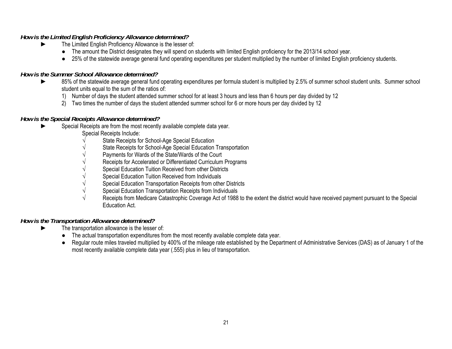## *How is the Limited English Proficiency Allowance determined?*

- ► The Limited English Proficiency Allowance is the lesser of:
	- The amount the District designates they will spend on students with limited English proficiency for the 2013/14 school year.
	- 25% of the statewide average general fund operating expenditures per student multiplied by the number of limited English proficiency students.

## *How is the Summer School Allowance determined?*

- 85% of the statewide average general fund operating expenditures per formula student is multiplied by 2.5% of summer school student units. Summer school student units equal to the sum of the ratios of:
	- 1) Number of days the student attended summer school for at least 3 hours and less than 6 hours per day divided by 12
	- 2) Two times the number of days the student attended summer school for 6 or more hours per day divided by 12

## *How is the Special Receipts Allowance determined?*

- Special Receipts are from the most recently available complete data year.
	- Special Receipts Include:
	- State Receipts for School-Age Special Education
	- State Receipts for School-Age Special Education Transportation
	- Payments for Wards of the State/Wards of the Court
	- Receipts for Accelerated or Differentiated Curriculum Programs
	- Special Education Tuition Received from other Districts
	- Special Education Tuition Received from Individuals
	- $\sqrt{\phantom{a}}$  Special Education Transportation Receipts from other Districts
	- $\sqrt{\phantom{a}}$  Special Education Transportation Receipts from Individuals
	- Receipts from Medicare Catastrophic Coverage Act of 1988 to the extent the district would have received payment pursuant to the Special Education Act.

## *How is the Transportation Allowance determined?*

- The transportation allowance is the lesser of:
	- The actual transportation expenditures from the most recently available complete data year.
	- Regular route miles traveled multiplied by 400% of the mileage rate established by the Department of Administrative Services (DAS) as of January 1 of the most recently available complete data year (.555) plus in lieu of transportation.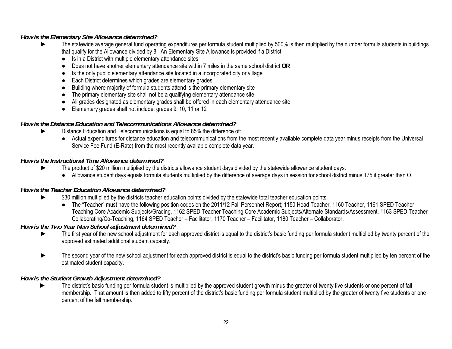## *How is the Elementary Site Allowance determined?*

- The statewide average general fund operating expenditures per formula student multiplied by 500% is then multiplied by the number formula students in buildings that qualify for the Allowance divided by 8. An Elementary Site Allowance is provided if a District:
	- Is in a District with multiple elementary attendance sites
	- Does not have another elementary attendance site within 7 miles in the same school district **OR**
	- Is the only public elementary attendance site located in a incorporated city or village
	- Each District determines which grades are elementary grades
	- Building where majority of formula students attend is the primary elementary site
	- The primary elementary site shall not be a qualifying elementary attendance site
	- All grades designated as elementary grades shall be offered in each elementary attendance site
	- Elementary grades shall not include, grades 9, 10, 11 or 12

## *How is the Distance Education and Telecommunications Allowance determined?*

- Distance Education and Telecommunications is equal to 85% the difference of:
	- Actual expenditures for distance education and telecommunications from the most recently available complete data year minus receipts from the Universal Service Fee Fund (E-Rate) from the most recently available complete data year.

## *How is the Instructional Time Allowance determined?*

- The product of \$20 million multiplied by the districts allowance student days divided by the statewide allowance student days.
	- Allowance student days equals formula students multiplied by the difference of average days in session for school district minus 175 if greater than O.

## *How is the Teacher Education Allowance determined?*

- \$30 million multiplied by the districts teacher education points divided by the statewide total teacher education points.
	- The "Teacher" must have the following position codes on the 2011/12 Fall Personnel Report; 1150 Head Teacher, 1160 Teacher, 1161 SPED Teacher Teaching Core Academic Subjects/Grading, 1162 SPED Teacher Teaching Core Academic Subjects/Alternate Standards/Assessment, 1163 SPED Teacher Collaborating/Co-Teaching, 1164 SPED Teacher – Facilitator, 1170 Teacher – Facilitator, 1180 Teacher – Collaborator.

## *How is the Two Year New School adjustment determined?*

- ► The first year of the new school adjustment for each approved district is equal to the district's basic funding per formula student multiplied by twenty percent of the approved estimated additional student capacity.
- ► The second year of the new school adjustment for each approved district is equal to the district's basic funding per formula student multiplied by ten percent of the estimated student capacity.

## *How is the Student Growth Adjustment determined?*

The district's basic funding per formula student is multiplied by the approved student growth minus the greater of twenty five students or one percent of fall membership. That amount is then added to fifty percent of the district's basic funding per formula student multiplied by the greater of twenty five students or one percent of the fall membership.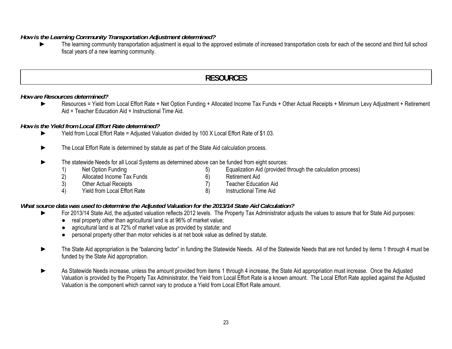#### *How is the Learning Community Transportation Adjustment determined?*

► The learning community transportation adjustment is equal to the approved estimate of increased transportation costs for each of the second and third full school fiscal years of a new learning community.

## **RESOURCES**

#### *How are Resources determined?*

► Resources = Yield from Local Effort Rate + Net Option Funding + Allocated Income Tax Funds + Other Actual Receipts + Minimum Levy Adjustment + Retirement Aid + Teacher Education Aid + Instructional Time Aid.

#### *How is the Yield from Local Effort Rate determined?*

- ► Yield from Local Effort Rate = Adjusted Valuation divided by 100 X Local Effort Rate of \$1.03.
- ► The Local Effort Rate is determined by statute as part of the State Aid calculation process.
- The statewide Needs for all Local Systems as determined above can be funded from eight sources:
	-
	- 1) Net Option Funding 19 (19) Contract to the Contract of Contract of Contract of Contract of Contract of Contra<br>
	2) Allocated Income Tax Funds (6) Retirement Aid
	- 2) Allocated Income Tax Funds<br>
	3) Other Actual Receipts<br>
	3) Other Actual Receipts<br>
	3) Teacher Educat
	- 3) Other Actual Receipts (3) Other Actual Receipts (3) Teacher Education Aid<br>
	4) Yield from Local Effort Rate (3) 8) Instructional Time Aid 4) Yield from Local Effort Rate 8)

#### *What source data was used to determine the Adjusted Valuation for the 2013/14 State Aid Calculation?*

- For 2013/14 State Aid, the adjusted valuation reflects 2012 levels. The Property Tax Administrator adjusts the values to assure that for State Aid purposes:
	- real property other than agricultural land is at 96% of market value;
	- agricultural land is at 72% of market value as provided by statute; and
	- personal property other than motor vehicles is at net book value as defined by statute.
- The State Aid appropriation is the "balancing factor" in funding the Statewide Needs. All of the Statewide Needs that are not funded by items 1 through 4 must be funded by the State Aid appropriation.
- As Statewide Needs increase, unless the amount provided from items 1 through 4 increase, the State Aid appropriation must increase. Once the Adjusted Valuation is provided by the Property Tax Administrator, the Yield from Local Effort Rate is a known amount. The Local Effort Rate applied against the Adjusted Valuation is the component which cannot vary to produce a Yield from Local Effort Rate amount.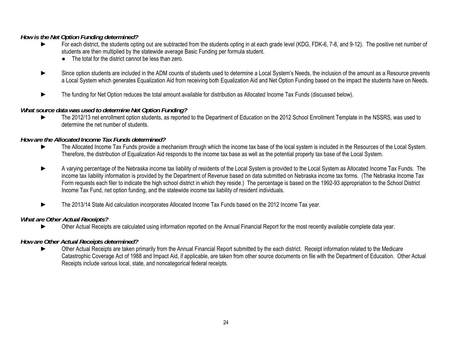## *How is the Net Option Funding determined?*

- For each district, the students opting out are subtracted from the students opting in at each grade level (KDG, FDK-6, 7-8, and 9-12). The positive net number of students are then multiplied by the statewide average Basic Funding per formula student.
	- The total for the district cannot be less than zero.
- ► Since option students are included in the ADM counts of students used to determine a Local System's Needs, the inclusion of the amount as a Resource prevents a Local System which generates Equalization Aid from receiving both Equalization Aid and Net Option Funding based on the impact the students have on Needs.
- The funding for Net Option reduces the total amount available for distribution as Allocated Income Tax Funds (discussed below).

## *What source data was used to determine Net Option Funding?*

The 2012/13 net enrollment option students, as reported to the Department of Education on the 2012 School Enrollment Template in the NSSRS, was used to determine the net number of students.

## *How are the Allocated Income Tax Funds determined?*

- ► The Allocated Income Tax Funds provide a mechanism through which the income tax base of the local system is included in the Resources of the Local System. Therefore, the distribution of Equalization Aid responds to the income tax base as well as the potential property tax base of the Local System.
- ► A varying percentage of the Nebraska income tax liability of residents of the Local System is provided to the Local System as Allocated Income Tax Funds. The income tax liability information is provided by the Department of Revenue based on data submitted on Nebraska income tax forms. (The Nebraska Income Tax Form requests each filer to indicate the high school district in which they reside.) The percentage is based on the 1992-93 appropriation to the School District Income Tax Fund, net option funding, and the statewide income tax liability of resident individuals.
- ► The 2013/14 State Aid calculation incorporates Allocated Income Tax Funds based on the 2012 Income Tax year.

## *What are Other Actual Receipts?*

► Other Actual Receipts are calculated using information reported on the Annual Financial Report for the most recently available complete data year.

## *How are Other Actual Receipts determined?*

► Other Actual Receipts are taken primarily from the Annual Financial Report submitted by the each district. Receipt information related to the Medicare Catastrophic Coverage Act of 1988 and Impact Aid, if applicable, are taken from other source documents on file with the Department of Education. Other Actual Receipts include various local, state, and noncategorical federal receipts.